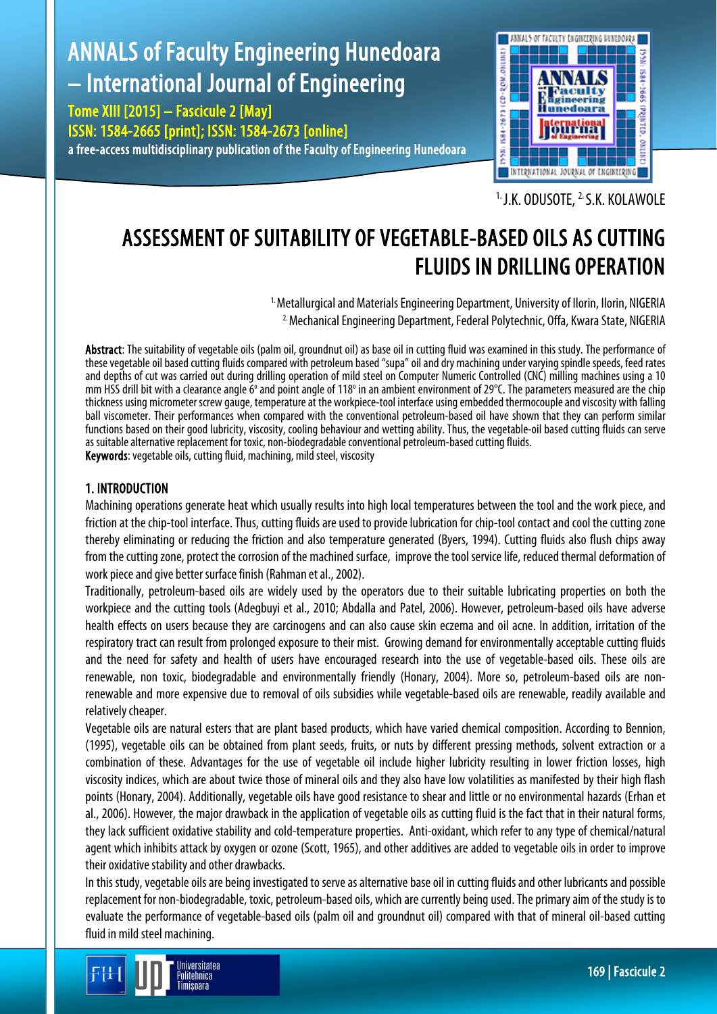# ANNALS of Faculty Engineering Hunedoara – International Journal of Engineering

Tome XIII [2015] – Fascicule 2 [May] ISSN: 1584-2665 [print]; ISSN: 1584-2673 [online] a free-access multidisciplinary publication of the Faculty of Engineering Hunedoara



<sup>1.</sup> J.K. ODUSOTE, <sup>2.</sup> S.K. KOLAWOLE

# ASSESSMENT OF SUITABILITY OF VEGETABLE-BASED OILS AS CUTTING FLUIDS IN DRILLING OPERATION

<sup>1.</sup> Metallurgical and Materials Engineering Department, University of Ilorin, Ilorin, NIGERIA 2. Mechanical Engineering Department, Federal Polytechnic, Offa, Kwara State, NIGERIA

Abstract: The suitability of vegetable oils (palm oil, groundnut oil) as base oil in cutting fluid was examined in this study. The performance of these vegetable oil based cutting fluids compared with petroleum based "supa" oil and dry machining under varying spindle speeds, feed rates and depths of cut was carried out during drilling operation of mild steel on Computer Numeric Controlled (CNC) milling machines using a 10 mm HSS drill bit with a clearance angle  $6^\circ$  and point angle of 118 $^\circ$  in an ambient environment of 29 $^\circ$ C. The parameters measured are the chip thickness using micrometer screw gauge, temperature at the workpiece-tool interface using embedded thermocouple and viscosity with falling ball viscometer. Their performances when compared with the conventional petroleum-based oil have shown that they can perform similar functions based on their good lubricity, viscosity, cooling behaviour and wetting ability. Thus, the vegetable-oil based cutting fluids can serve as suitable alternative replacement for toxic, non-biodegradable conventional petroleum-based cutting fluids. Keywords: vegetable oils, cutting fluid, machining, mild steel, viscosity

#### 1. INTRODUCTION

Machining operations generate heat which usually results into high local temperatures between the tool and the work piece, and friction at the chip-tool interface. Thus, cutting fluids are used to provide lubrication for chip-tool contact and cool the cutting zone thereby eliminating or reducing the friction and also temperature generated (Byers, 1994). Cutting fluids also flush chips away from the cutting zone, protect the corrosion of the machined surface, improve the tool service life, reduced thermal deformation of work piece and give better surface finish (Rahman et al., 2002).

Traditionally, petroleum-based oils are widely used by the operators due to their suitable lubricating properties on both the workpiece and the cutting tools (Adegbuyi et al., 2010; Abdalla and Patel, 2006). However, petroleum-based oils have adverse health effects on users because they are carcinogens and can also cause skin eczema and oil acne. In addition, irritation of the respiratory tract can result from prolonged exposure to their mist. Growing demand for environmentally acceptable cutting fluids and the need for safety and health of users have encouraged research into the use of vegetable-based oils. These oils are renewable, non toxic, biodegradable and environmentally friendly (Honary, 2004). More so, petroleum-based oils are nonrenewable and more expensive due to removal of oils subsidies while vegetable-based oils are renewable, readily available and relatively cheaper.

Vegetable oils are natural esters that are plant based products, which have varied chemical composition. According to Bennion, (1995), vegetable oils can be obtained from plant seeds, fruits, or nuts by different pressing methods, solvent extraction or a combination of these. Advantages for the use of vegetable oil include higher lubricity resulting in lower friction losses, high viscosity indices, which are about twice those of mineral oils and they also have low volatilities as manifested by their high flash points (Honary, 2004). Additionally, vegetable oils have good resistance to shear and little or no environmental hazards (Erhan et al., 2006). However, the major drawback in the application of vegetable oils as cutting fluid is the fact that in their natural forms, they lack sufficient oxidative stability and cold-temperature properties. Anti-oxidant, which refer to any type of chemical/natural agent which inhibits attack by oxygen or ozone (Scott, 1965), and other additives are added to vegetable oils in order to improve their oxidative stability and other drawbacks.

In this study, vegetable oils are being investigated to serve as alternative base oil in cutting fluids and other lubricants and possible replacement for non-biodegradable, toxic, petroleum-based oils, which are currently being used. The primary aim of the study is to evaluate the performance of vegetable-based oils (palm oil and groundnut oil) compared with that of mineral oil-based cutting fluid in mild steel machining.

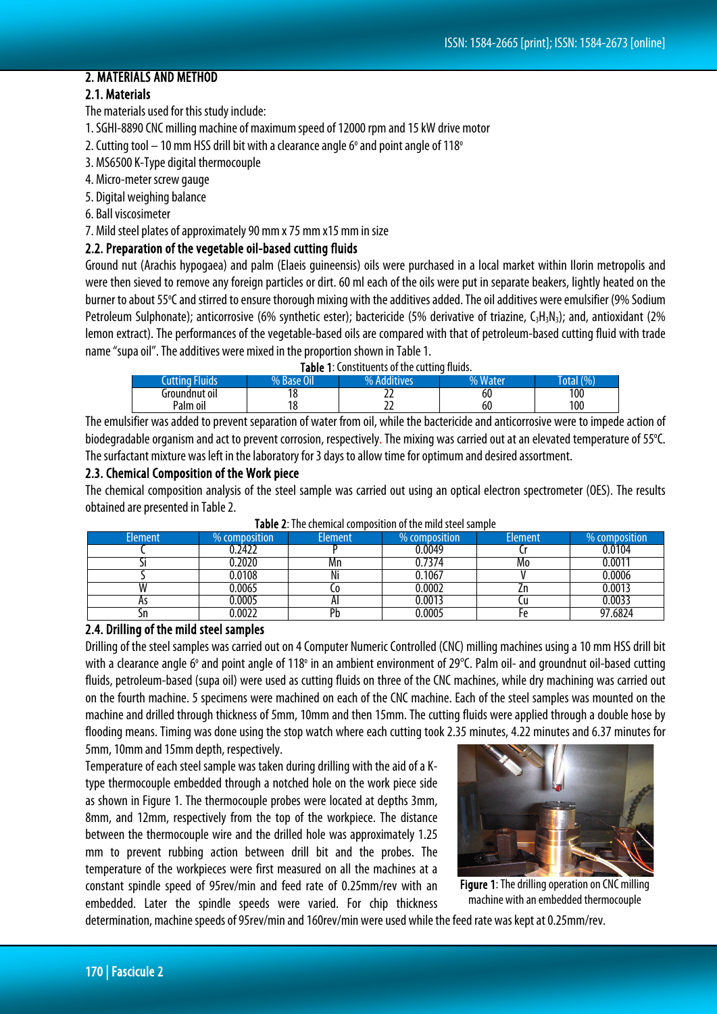### 2. MATERIALS AND METHOD

## 2.1. Materials

The materials used for this study include:

- 1. SGHI-8890 CNC milling machine of maximum speed of 12000 rpm and 15 kW drive motor
- 2. Cutting tool  $-10$  mm HSS drill bit with a clearance angle 6 $\degree$  and point angle of 118 $\degree$
- 3. MS6500 K-Type digital thermocouple
- 4. Micro-meter screw gauge
- 5. Digital weighing balance
- 6. Ball viscosimeter
- 7. Mild steel plates of approximately 90 mm x 75 mm x15 mm in size

#### 2.2. Preparation of the vegetable oil-based cutting fluids

Ground nut (Arachis hypogaea) and palm (Elaeis guineensis) oils were purchased in a local market within Ilorin metropolis and were then sieved to remove any foreign particles or dirt. 60 ml each of the oils were put in separate beakers, lightly heatedon the burner to about 55°C and stirred to ensure thorough mixing with the additives added. The oil additives were emulsifier (9% Sodium Petroleum Sulphonate); anticorrosive (6% synthetic ester); bactericide (5% derivative of triazine, C<sub>3</sub>H<sub>3</sub>N<sub>3</sub>); and, antioxidant (2% lemon extract). The performances of the vegetable-based oils are compared with that of petroleum-based cutting fluid with trade name "supa oil". The additives were mixed in the proportion shown in Table 1.

| Table 1: Constituents of the cutting fluids. |  |
|----------------------------------------------|--|
|----------------------------------------------|--|

| <b>Cutting Fluids</b> | $\sim$<br>% Base ( | dditives<br>0/ | <b>Water</b><br>0/2 | (9/6) |
|-----------------------|--------------------|----------------|---------------------|-------|
| Groundnut oil         |                    | --             | 60                  | 100   |
| Palm oil              | 1 ດ                | --             | 60                  | 100   |

The emulsifier was added to prevent separation of water from oil, while the bactericide and anticorrosive were to impede action of biodegradable organism and act to prevent corrosion, respectively. The mixing was carried out at an elevated temperature of 55°C. The surfactant mixture was left in the laboratory for 3 days to allow time for optimum and desired assortment.

#### 2.3. Chemical Composition of the Work piece

The chemical composition analysis of the steel sample was carried out using an optical electron spectrometer (OES). The results obtained are presented in Table 2.

| <b>Element</b> | $\%$ composition $^{\circ}$ | <b>Element</b> | % composition | <b>Element</b> | % composition |
|----------------|-----------------------------|----------------|---------------|----------------|---------------|
|                | 0.2422                      |                | 0.0049        |                | 0.0104        |
|                | 0.2020                      | Mn             | 0.7374        | Mo             | 0.0011        |
|                | 0.0108                      | Ni             | 0.1067        |                | 0.0006        |
|                | 0.0065                      | ⊾∪             | 0.0002        | LΗ             | 0.0013        |
| 7 I J          | 0.0005                      | ΑI             | 0.0013        |                | 0.0033        |
| ווכ            | 0.0022                      | Pb             | 0.0005        |                | 97.6824       |

Table 2: The chemical composition of the mild steel sample

#### 2.4. Drilling of the mild steel samples

Drilling of the steel samples was carried out on 4 Computer Numeric Controlled (CNC) milling machines using a 10 mm HSS drill bit with a clearance angle 6° and point angle of 118° in an ambient environment of 29°C. Palm oil- and groundnut oil-based cutting fluids, petroleum-based (supa oil) were used as cutting fluids on three of the CNC machines, while dry machining was carried out on the fourth machine. 5 specimens were machined on each of the CNC machine. Each of the steel samples was mounted on the machine and drilled through thickness of 5mm, 10mm and then 15mm. The cutting fluids were applied through a double hose by flooding means. Timing was done using the stop watch where each cutting took 2.35 minutes, 4.22 minutes and 6.37 minutes for 5mm, 10mm and 15mm depth, respectively.

Temperature of each steel sample was taken during drilling with the aid of a Ktype thermocouple embedded through a notched hole on the work piece side as shown in Figure 1. The thermocouple probes were located at depths 3mm, 8mm, and 12mm, respectively from the top of the workpiece. The distance between the thermocouple wire and the drilled hole was approximately 1.25 mm to prevent rubbing action between drill bit and the probes. The temperature of the workpieces were first measured on all the machines at a constant spindle speed of 95rev/min and feed rate of 0.25mm/rev with an embedded. Later the spindle speeds were varied. For chip thickness



Figure 1: The drilling operation on CNC milling machine with an embedded thermocouple

determination, machine speeds of 95rev/min and 160rev/min were used while the feed rate was kept at 0.25mm/rev.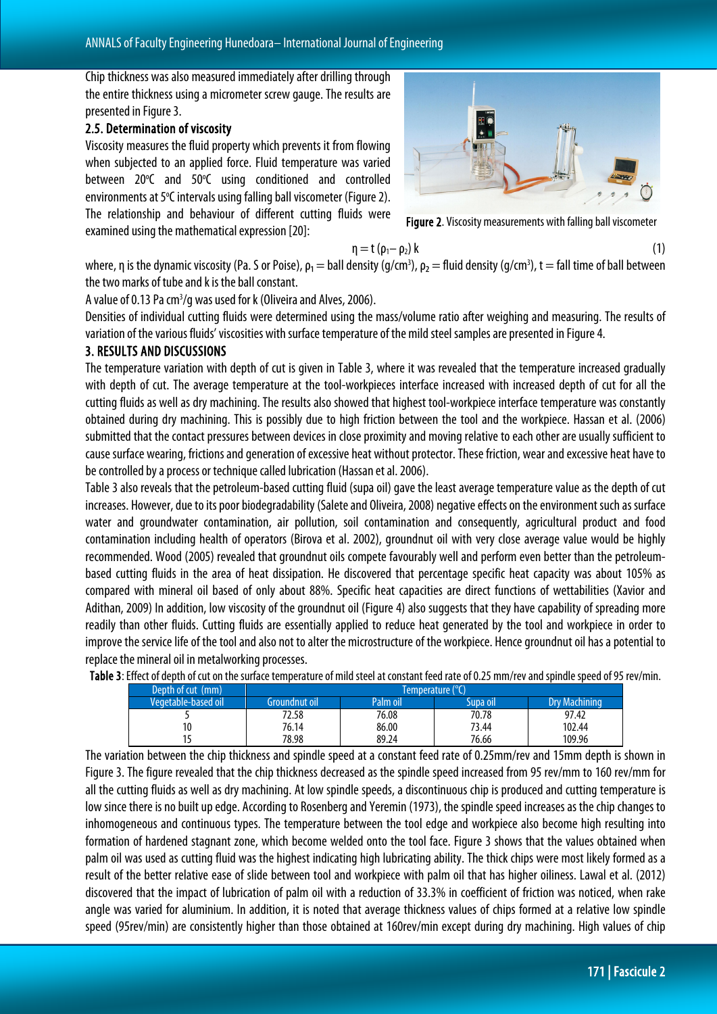Chip thickness was also measured immediately after drilling through the entire thickness using a micrometer screw gauge. The results are presented in Figure 3.

#### 2.5. Determination of viscosity

Viscosity measures the fluid property which prevents it from flowing when subjected to an applied force. Fluid temperature was varied between 20°C and 50°C using conditioned and controlled environments at 5°C intervals using falling ball viscometer (Figure 2). The relationship and behaviour of different cutting fluids were examined using the mathematical expression [20]:



Figure 2. Viscosity measurements with falling ball viscometer

$$
\eta = t \left( \rho_1 - \rho_2 \right) k \tag{1}
$$

where, η is the dynamic viscosity (Pa. S or Poise),  $\rho_1 =$  ball density (g/cm<sup>3</sup>),  $\rho_2 =$  fluid density (g/cm<sup>3</sup>), t = fall time of ball between the two marks of tube and k is the ball constant.

A value of 0.13 Pa cm<sup>3</sup>/g was used for k (Oliveira and Alves, 2006).

Densities of individual cutting fluids were determined using the mass/volume ratio after weighing and measuring. The results of variation of the various fluids' viscosities with surface temperature of the mild steel samples are presented in Figure 4.

#### 3. RESULTS AND DISCUSSIONS

The temperature variation with depth of cut is given in Table 3, where it was revealed that the temperature increased gradually with depth of cut. The average temperature at the tool-workpieces interface increased with increased depth of cut for all the cutting fluids as well as dry machining. The results also showed that highest tool-workpiece interface temperature was constantly obtained during dry machining. This is possibly due to high friction between the tool and the workpiece. Hassan et al. (2006) submitted that the contact pressures between devices in close proximity and moving relative to each other are usually sufficient to cause surface wearing, frictions and generation of excessive heat without protector. These friction, wear and excessive heat have to be controlled by a process or technique called lubrication (Hassan et al. 2006).

Table 3 also reveals that the petroleum-based cutting fluid (supa oil) gave the least average temperature value as the depth of cut increases. However, due to its poor biodegradability (Salete and Oliveira, 2008) negative effects on the environment such as surface water and groundwater contamination, air pollution, soil contamination and consequently, agricultural product and food contamination including health of operators (Birova et al. 2002), groundnut oil with very close average value would be highly recommended. Wood (2005) revealed that groundnut oils compete favourably well and perform even better than the petroleumbased cutting fluids in the area of heat dissipation. He discovered that percentage specific heat capacity was about 105% as compared with mineral oil based of only about 88%. Specific heat capacities are direct functions of wettabilities (Xavior and Adithan, 2009) In addition, low viscosity of the groundnut oil (Figure 4) also suggests that they have capability of spreading more readily than other fluids. Cutting fluids are essentially applied to reduce heat generated by the tool and workpiece in order to improve the service life of the tool and also not to alter the microstructure of the workpiece. Hence groundnut oil has a potential to replace the mineral oil in metalworking processes.

| Depth of cut (mm)   | Temperature (°C) |          |          |               |
|---------------------|------------------|----------|----------|---------------|
| Vegetable-based oil | Groundnut oil    | Palm oil | supa oil | Drv Machining |
|                     | 72.58            | 76.08    | 70.78    | 97.42         |
| 10                  | 76.14            | 86.00    | 73.44    | 102.44        |
|                     | 78.98            | 89.24    | 76.66    | 109.96        |

Table 3: Effect of depth of cut on the surface temperature of mild steel at constant feed rate of 0.25 mm/rev and spindle speed of 95 rev/min.

The variation between the chip thickness and spindle speed at a constant feed rate of 0.25mm/rev and 15mm depth is shown in Figure 3. The figure revealed that the chip thickness decreased as the spindle speed increased from 95 rev/mm to 160 rev/mm for all the cutting fluids as well as dry machining. At low spindle speeds, a discontinuous chip is produced and cutting temperature is low since there is no built up edge. According to Rosenberg and Yeremin (1973), the spindle speed increases as the chip changes to inhomogeneous and continuous types. The temperature between the tool edge and workpiece also become high resulting into formation of hardened stagnant zone, which become welded onto the tool face. Figure 3 shows that the values obtained when palm oil was used as cutting fluid was the highest indicating high lubricating ability. The thick chips were most likely formed as a result of the better relative ease of slide between tool and workpiece with palm oil that has higher oiliness. Lawal et al. (2012) discovered that the impact of lubrication of palm oil with a reduction of 33.3% in coefficient of friction was noticed, when rake angle was varied for aluminium. In addition, it is noted that average thickness values of chips formed at a relative low spindle speed (95rev/min) are consistently higher than those obtained at 160rev/min except during dry machining. High values of chip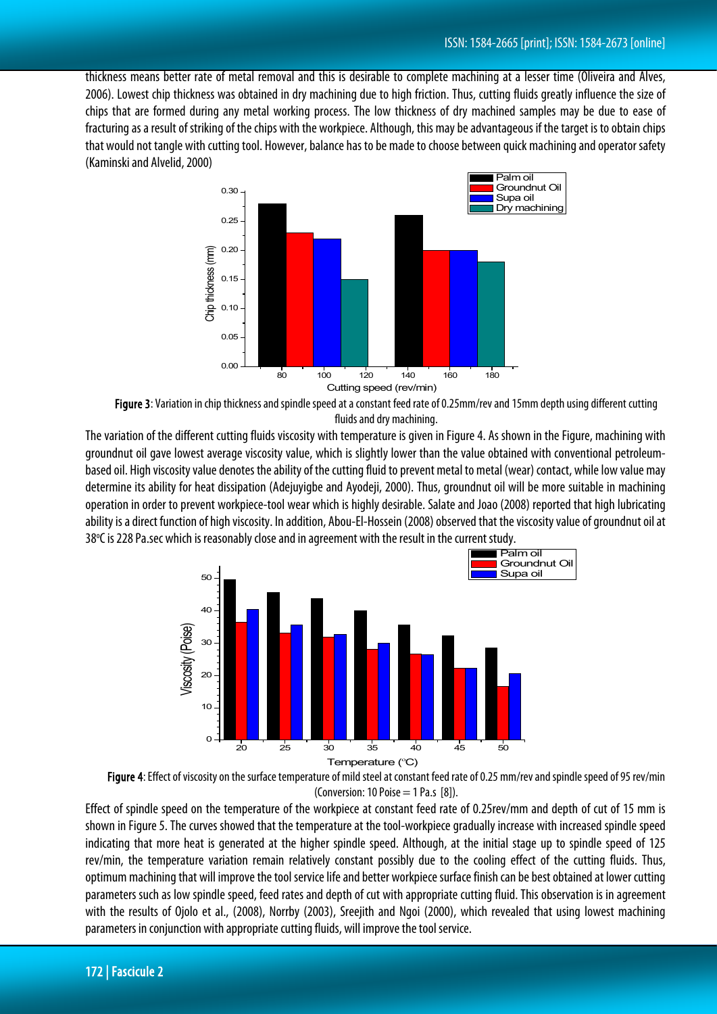thickness means better rate of metal removal and this is desirable to complete machining at a lesser time (Oliveira and Alves, 2006). Lowest chip thickness was obtained in dry machining due to high friction. Thus, cutting fluids greatly influence the size of chips that are formed during any metal working process. The low thickness of dry machined samples may be due to ease of fracturing as a result of striking of the chips with the workpiece. Although, this may be advantageous if the target is to obtain chips that would not tangle with cutting tool. However, balance has to be made to choose between quick machining and operator safety (Kaminski and Alvelid, 2000)





The variation of the different cutting fluids viscosity with temperature is given in Figure 4. As shown in the Figure, machining with groundnut oil gave lowest average viscosity value, which is slightly lower than the value obtained with conventional petroleumbased oil. High viscosity value denotes the ability of the cutting fluid to prevent metal to metal (wear) contact, while low value may determine its ability for heat dissipation (Adejuyigbe and Ayodeji, 2000). Thus, groundnut oil will be more suitable in machining operation in order to prevent workpiece-tool wear which is highly desirable. Salate and Joao (2008) reported that high lubricating ability is a direct function of high viscosity. In addition, Abou-El-Hossein (2008) observed that the viscosity value of groundnut oil at 38°C is 228 Pa.sec which is reasonably close and in agreement with the result in the current study.





Effect of spindle speed on the temperature of the workpiece at constant feed rate of 0.25rev/mm and depth of cut of 15 mm is shown in Figure 5. The curves showed that the temperature at the tool-workpiece gradually increase with increased spindle speed indicating that more heat is generated at the higher spindle speed. Although, at the initial stage up to spindle speed of 125 rev/min, the temperature variation remain relatively constant possibly due to the cooling effect of the cutting fluids. Thus, optimum machining that will improve the tool service life and better workpiece surface finish can be best obtained at lower cutting parameters such as low spindle speed, feed rates and depth of cut with appropriate cutting fluid. This observation is in agreement with the results of Ojolo et al., (2008), Norrby (2003), Sreejith and Ngoi (2000), which revealed that using lowest machining parameters in conjunction with appropriate cutting fluids, will improve the tool service.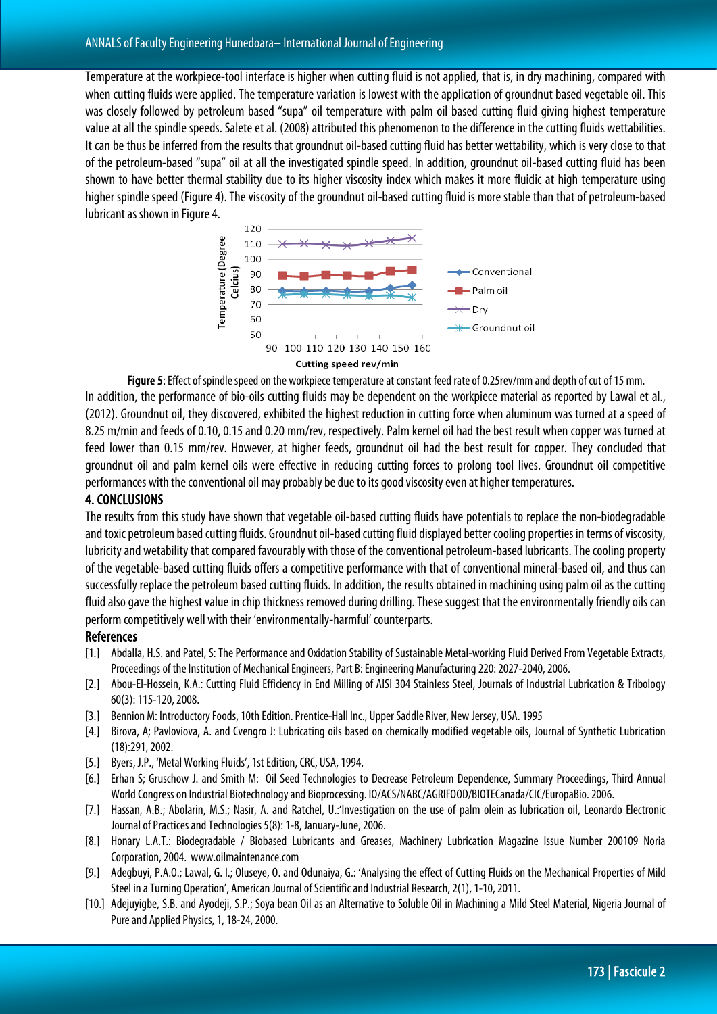Temperature at the workpiece-tool interface is higher when cutting fluid is not applied, that is, in dry machining, compared with when cutting fluids were applied. The temperature variation is lowest with the application of groundnut based vegetable oil. This was closely followed by petroleum based "supa" oil temperature with palm oil based cutting fluid giving highest temperature value at all the spindle speeds. Salete et al. (2008) attributed this phenomenon to the difference in the cutting fluids wettabilities. It can be thus be inferred from the results that groundnut oil-based cutting fluid has better wettability, which is very close to that of the petroleum-based "supa" oil at all the investigated spindle speed. In addition, groundnut oil-based cutting fluid has been shown to have better thermal stability due to its higher viscosity index which makes it more fluidic at high temperature using higher spindle speed (Figure 4). The viscosity of the groundnut oil-based cutting fluid is more stable than that of petroleum-based lubricant as shown in Figure 4.



Figure 5: Effect of spindle speed on the workpiece temperature at constant feed rate of 0.25rev/mm and depth of cut of 15 mm.

In addition, the performance of bio-oils cutting fluids may be dependent on the workpiece material as reported by Lawal et al., (2012). Groundnut oil, they discovered, exhibited the highest reduction in cutting force when aluminum was turned at a speed of 8.25 m/min and feeds of 0.10, 0.15 and 0.20 mm/rev, respectively. Palm kernel oil had the best result when copper was turned at feed lower than 0.15 mm/rev. However, at higher feeds, groundnut oil had the best result for copper. They concluded that groundnut oil and palm kernel oils were effective in reducing cutting forces to prolong tool lives. Groundnut oil competitive performances with the conventional oil may probably be due to its good viscosity even at higher temperatures.

#### 4. CONCLUSIONS

The results from this study have shown that vegetable oil-based cutting fluids have potentials to replace the non-biodegradable and toxic petroleum based cutting fluids. Groundnut oil-based cutting fluid displayed better cooling properties in terms of viscosity, lubricity and wetability that compared favourably with those of the conventional petroleum-based lubricants. The cooling property of the vegetable-based cutting fluids offers a competitive performance with that of conventional mineral-based oil, and thus can successfully replace the petroleum based cutting fluids. In addition, the results obtained in machining using palm oil as the cutting fluid also gave the highest value in chip thickness removed during drilling. These suggest that the environmentally friendly oils can perform competitively well with their 'environmentally-harmful' counterparts.

#### **References**

- [1.] Abdalla, H.S. and Patel, S: The Performance and Oxidation Stability of Sustainable Metal-working Fluid Derived From Vegetable Extracts, Proceedings of the Institution of Mechanical Engineers, Part B: Engineering Manufacturing 220: 2027-2040, 2006.
- [2.] Abou-El-Hossein, K.A.: Cutting Fluid Efficiency in End Milling of AISI 304 Stainless Steel, Journals of Industrial Lubrication & Tribology 60(3): 115-120, 2008.
- [3.] Bennion M: Introductory Foods,10th Edition. Prentice-Hall Inc., Upper Saddle River, New Jersey, USA. 1995
- [4.] Birova, A; Pavloviova, A. and Cvengro J: Lubricating oils based on chemically modified vegetable oils, Journal of Synthetic Lubrication (18):291, 2002.
- [5.] Byers, J.P., 'Metal Working Fluids', 1st Edition, CRC, USA, 1994.
- [6.] Erhan S; Gruschow J. and Smith M: Oil Seed Technologies to Decrease Petroleum Dependence, Summary Proceedings, Third Annual World Congress on Industrial Biotechnology and Bioprocessing. IO/ACS/NABC/AGRIFOOD/BIOTECanada/CIC/EuropaBio. 2006.
- [7.] Hassan, A.B.; Abolarin, M.S.; Nasir, A. and Ratchel, U.:'Investigation on the use of palm olein as lubrication oil, Leonardo Electronic Journal of Practices and Technologies 5(8): 1-8, January-June, 2006.
- [8.] Honary L.A.T.: Biodegradable / Biobased Lubricants and Greases, Machinery Lubrication Magazine Issue Number 200109 Noria Corporation, 2004. www.oilmaintenance.com
- [9.] Adegbuyi, P.A.O.; Lawal, G. I.; Oluseye, O. and Odunaiya, G.: 'Analysing the effect of Cutting Fluids on the Mechanical Properties of Mild Steel in a Turning Operation', American Journal of Scientific and Industrial Research, 2(1), 1-10, 2011.
- [10.] Adejuyigbe, S.B. and Ayodeji, S.P.; Soya bean Oil as an Alternative to Soluble Oil in Machining a Mild Steel Material, Nigeria Journal of Pure and Applied Physics, 1, 18-24, 2000.